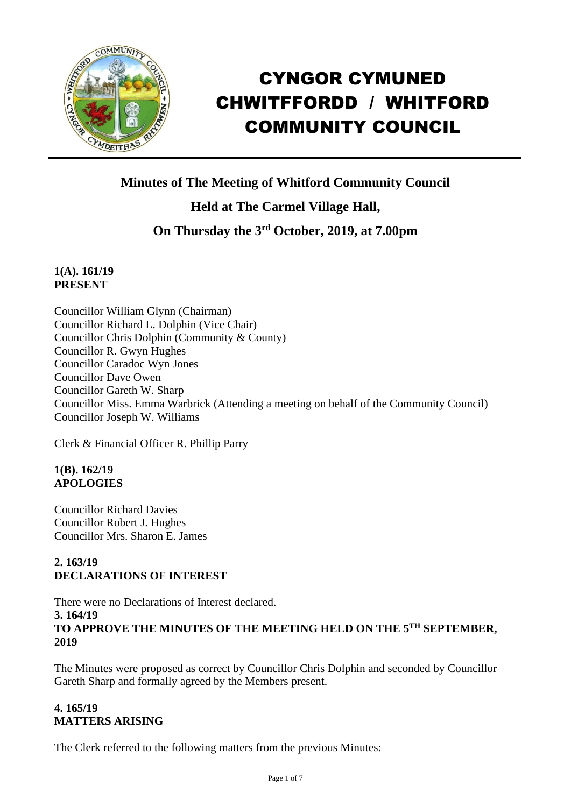

# CYNGOR CYMUNED CHWITFFORDD / WHITFORD COMMUNITY COUNCIL

# **Minutes of The Meeting of Whitford Community Council**

# **Held at The Carmel Village Hall,**

# **On Thursday the 3 rd October, 2019, at 7.00pm**

#### **1(A). 161/19 PRESENT**

Councillor William Glynn (Chairman) Councillor Richard L. Dolphin (Vice Chair) Councillor Chris Dolphin (Community & County) Councillor R. Gwyn Hughes Councillor Caradoc Wyn Jones Councillor Dave Owen Councillor Gareth W. Sharp Councillor Miss. Emma Warbrick (Attending a meeting on behalf of the Community Council) Councillor Joseph W. Williams

Clerk & Financial Officer R. Phillip Parry

# **1(B). 162/19 APOLOGIES**

Councillor Richard Davies Councillor Robert J. Hughes Councillor Mrs. Sharon E. James

# **2. 163/19 DECLARATIONS OF INTEREST**

There were no Declarations of Interest declared. **3. 164/19 TO APPROVE THE MINUTES OF THE MEETING HELD ON THE 5 TH SEPTEMBER, 2019**

The Minutes were proposed as correct by Councillor Chris Dolphin and seconded by Councillor Gareth Sharp and formally agreed by the Members present.

# **4. 165/19 MATTERS ARISING**

The Clerk referred to the following matters from the previous Minutes: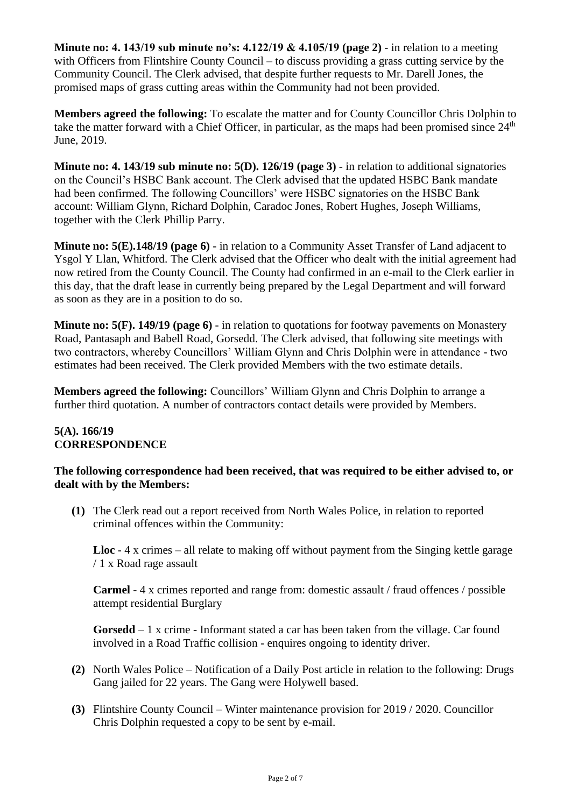**Minute no: 4. 143/19 sub minute no's: 4.122/19 & 4.105/19 (page 2)** - in relation to a meeting with Officers from Flintshire County Council – to discuss providing a grass cutting service by the Community Council. The Clerk advised, that despite further requests to Mr. Darell Jones, the promised maps of grass cutting areas within the Community had not been provided.

**Members agreed the following:** To escalate the matter and for County Councillor Chris Dolphin to take the matter forward with a Chief Officer, in particular, as the maps had been promised since 24<sup>th</sup> June, 2019.

**Minute no: 4. 143/19 sub minute no: 5(D). 126/19 (page 3)** - in relation to additional signatories on the Council's HSBC Bank account. The Clerk advised that the updated HSBC Bank mandate had been confirmed. The following Councillors' were HSBC signatories on the HSBC Bank account: William Glynn, Richard Dolphin, Caradoc Jones, Robert Hughes, Joseph Williams, together with the Clerk Phillip Parry.

**Minute no: 5(E).148/19 (page 6)** - in relation to a Community Asset Transfer of Land adjacent to Ysgol Y Llan, Whitford. The Clerk advised that the Officer who dealt with the initial agreement had now retired from the County Council. The County had confirmed in an e-mail to the Clerk earlier in this day, that the draft lease in currently being prepared by the Legal Department and will forward as soon as they are in a position to do so.

**Minute no: 5(F). 149/19 (page 6)** - in relation to quotations for footway pavements on Monastery Road, Pantasaph and Babell Road, Gorsedd. The Clerk advised, that following site meetings with two contractors, whereby Councillors' William Glynn and Chris Dolphin were in attendance - two estimates had been received. The Clerk provided Members with the two estimate details.

**Members agreed the following:** Councillors' William Glynn and Chris Dolphin to arrange a further third quotation. A number of contractors contact details were provided by Members.

## **5(A). 166/19 CORRESPONDENCE**

#### **The following correspondence had been received, that was required to be either advised to, or dealt with by the Members:**

**(1)** The Clerk read out a report received from North Wales Police, in relation to reported criminal offences within the Community:

**Lloc** - 4 x crimes – all relate to making off without payment from the Singing kettle garage / 1 x Road rage assault

**Carmel** - 4 x crimes reported and range from: domestic assault / fraud offences / possible attempt residential Burglary

**Gorsedd** – 1 x crime - Informant stated a car has been taken from the village. Car found involved in a Road Traffic collision - enquires ongoing to identity driver.

- **(2)** North Wales Police Notification of a Daily Post article in relation to the following: Drugs Gang jailed for 22 years. The Gang were Holywell based.
- **(3)** Flintshire County Council Winter maintenance provision for 2019 / 2020. Councillor Chris Dolphin requested a copy to be sent by e-mail.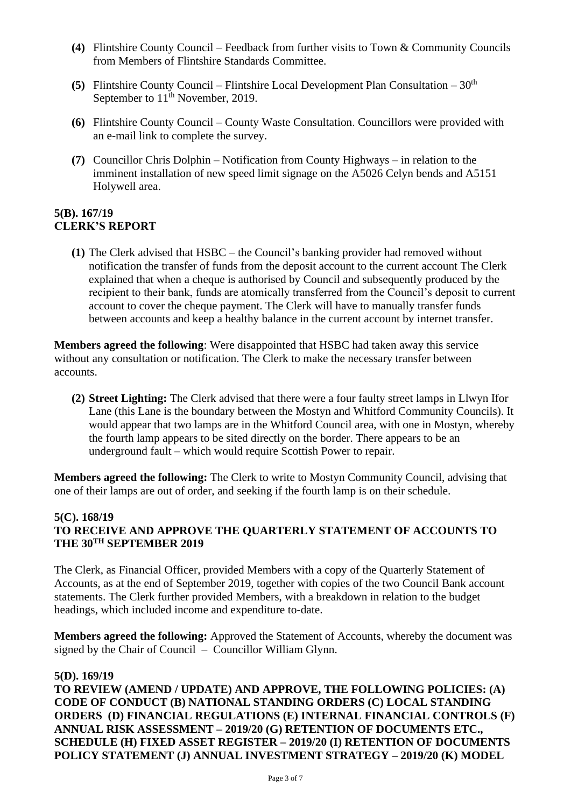- **(4)** Flintshire County Council Feedback from further visits to Town & Community Councils from Members of Flintshire Standards Committee.
- **(5)** Flintshire County Council Flintshire Local Development Plan Consultation  $30<sup>th</sup>$ September to 11<sup>th</sup> November, 2019.
- **(6)** Flintshire County Council County Waste Consultation. Councillors were provided with an e-mail link to complete the survey.
- **(7)** Councillor Chris Dolphin Notification from County Highways in relation to the imminent installation of new speed limit signage on the A5026 Celyn bends and A5151 Holywell area.

#### **5(B). 167/19 CLERK'S REPORT**

**(1)** The Clerk advised that HSBC – the Council's banking provider had removed without notification the transfer of funds from the deposit account to the current account The Clerk explained that when a cheque is authorised by Council and subsequently produced by the recipient to their bank, funds are atomically transferred from the Council's deposit to current account to cover the cheque payment. The Clerk will have to manually transfer funds between accounts and keep a healthy balance in the current account by internet transfer.

**Members agreed the following**: Were disappointed that HSBC had taken away this service without any consultation or notification. The Clerk to make the necessary transfer between accounts.

**(2) Street Lighting:** The Clerk advised that there were a four faulty street lamps in Llwyn Ifor Lane (this Lane is the boundary between the Mostyn and Whitford Community Councils). It would appear that two lamps are in the Whitford Council area, with one in Mostyn, whereby the fourth lamp appears to be sited directly on the border. There appears to be an underground fault – which would require Scottish Power to repair.

**Members agreed the following:** The Clerk to write to Mostyn Community Council, advising that one of their lamps are out of order, and seeking if the fourth lamp is on their schedule.

#### **5(C). 168/19 TO RECEIVE AND APPROVE THE QUARTERLY STATEMENT OF ACCOUNTS TO THE 30TH SEPTEMBER 2019**

The Clerk, as Financial Officer, provided Members with a copy of the Quarterly Statement of Accounts, as at the end of September 2019, together with copies of the two Council Bank account statements. The Clerk further provided Members, with a breakdown in relation to the budget headings, which included income and expenditure to-date.

**Members agreed the following:** Approved the Statement of Accounts, whereby the document was signed by the Chair of Council – Councillor William Glynn.

#### **5(D). 169/19**

**TO REVIEW (AMEND / UPDATE) AND APPROVE, THE FOLLOWING POLICIES: (A) CODE OF CONDUCT (B) NATIONAL STANDING ORDERS (C) LOCAL STANDING ORDERS (D) FINANCIAL REGULATIONS (E) INTERNAL FINANCIAL CONTROLS (F) ANNUAL RISK ASSESSMENT – 2019/20 (G) RETENTION OF DOCUMENTS ETC., SCHEDULE (H) FIXED ASSET REGISTER – 2019/20 (I) RETENTION OF DOCUMENTS POLICY STATEMENT (J) ANNUAL INVESTMENT STRATEGY – 2019/20 (K) MODEL**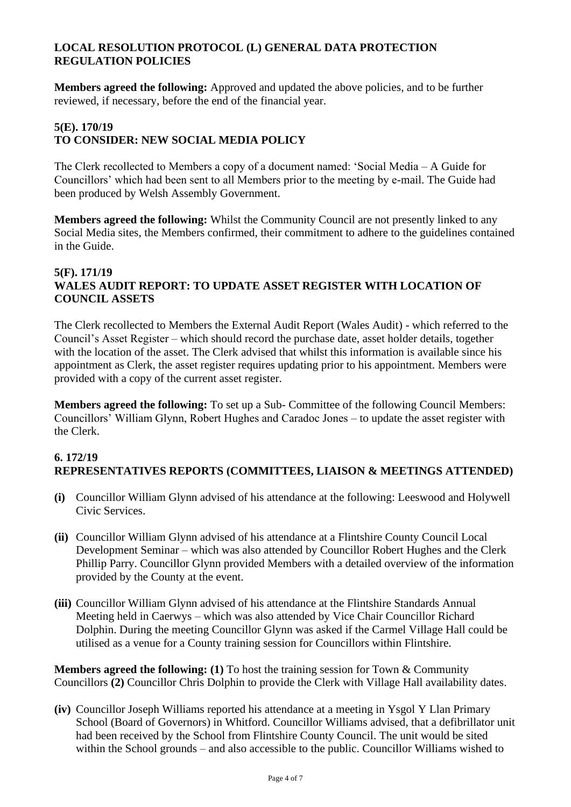#### **LOCAL RESOLUTION PROTOCOL (L) GENERAL DATA PROTECTION REGULATION POLICIES**

**Members agreed the following:** Approved and updated the above policies, and to be further reviewed, if necessary, before the end of the financial year.

#### **5(E). 170/19 TO CONSIDER: NEW SOCIAL MEDIA POLICY**

The Clerk recollected to Members a copy of a document named: 'Social Media – A Guide for Councillors' which had been sent to all Members prior to the meeting by e-mail. The Guide had been produced by Welsh Assembly Government.

**Members agreed the following:** Whilst the Community Council are not presently linked to any Social Media sites, the Members confirmed, their commitment to adhere to the guidelines contained in the Guide.

#### **5(F). 171/19 WALES AUDIT REPORT: TO UPDATE ASSET REGISTER WITH LOCATION OF COUNCIL ASSETS**

The Clerk recollected to Members the External Audit Report (Wales Audit) - which referred to the Council's Asset Register – which should record the purchase date, asset holder details, together with the location of the asset. The Clerk advised that whilst this information is available since his appointment as Clerk, the asset register requires updating prior to his appointment. Members were provided with a copy of the current asset register.

**Members agreed the following:** To set up a Sub- Committee of the following Council Members: Councillors' William Glynn, Robert Hughes and Caradoc Jones – to update the asset register with the Clerk.

## **6. 172/19 REPRESENTATIVES REPORTS (COMMITTEES, LIAISON & MEETINGS ATTENDED)**

- **(i)** Councillor William Glynn advised of his attendance at the following: Leeswood and Holywell Civic Services.
- **(ii)** Councillor William Glynn advised of his attendance at a Flintshire County Council Local Development Seminar – which was also attended by Councillor Robert Hughes and the Clerk Phillip Parry. Councillor Glynn provided Members with a detailed overview of the information provided by the County at the event.
- **(iii)** Councillor William Glynn advised of his attendance at the Flintshire Standards Annual Meeting held in Caerwys – which was also attended by Vice Chair Councillor Richard Dolphin. During the meeting Councillor Glynn was asked if the Carmel Village Hall could be utilised as a venue for a County training session for Councillors within Flintshire.

**Members agreed the following: (1)** To host the training session for Town & Community Councillors **(2)** Councillor Chris Dolphin to provide the Clerk with Village Hall availability dates.

**(iv)** Councillor Joseph Williams reported his attendance at a meeting in Ysgol Y Llan Primary School (Board of Governors) in Whitford. Councillor Williams advised, that a defibrillator unit had been received by the School from Flintshire County Council. The unit would be sited within the School grounds – and also accessible to the public. Councillor Williams wished to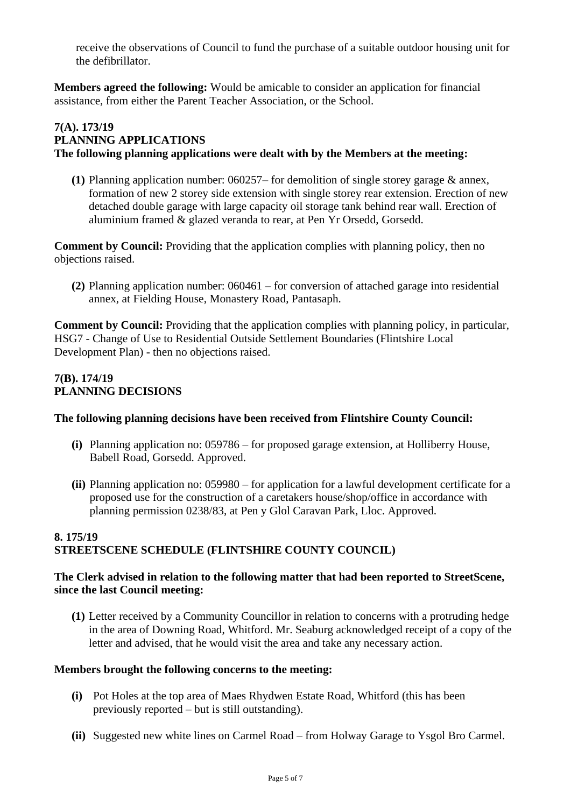receive the observations of Council to fund the purchase of a suitable outdoor housing unit for the defibrillator.

**Members agreed the following:** Would be amicable to consider an application for financial assistance, from either the Parent Teacher Association, or the School.

## **7(A). 173/19 PLANNING APPLICATIONS The following planning applications were dealt with by the Members at the meeting:**

**(1)** Planning application number: 060257– for demolition of single storey garage & annex, formation of new 2 storey side extension with single storey rear extension. Erection of new detached double garage with large capacity oil storage tank behind rear wall. Erection of aluminium framed & glazed veranda to rear, at Pen Yr Orsedd, Gorsedd.

**Comment by Council:** Providing that the application complies with planning policy, then no objections raised.

**(2)** Planning application number: 060461 – for conversion of attached garage into residential annex, at Fielding House, Monastery Road, Pantasaph.

**Comment by Council:** Providing that the application complies with planning policy, in particular, HSG7 - Change of Use to Residential Outside Settlement Boundaries (Flintshire Local Development Plan) - then no objections raised.

#### **7(B). 174/19 PLANNING DECISIONS**

#### **The following planning decisions have been received from Flintshire County Council:**

- **(i)** Planning application no: 059786 for proposed garage extension, at Holliberry House, Babell Road, Gorsedd. Approved.
- **(ii)** Planning application no: 059980 for application for a lawful development certificate for a proposed use for the construction of a caretakers house/shop/office in accordance with planning permission 0238/83, at Pen y Glol Caravan Park, Lloc. Approved.

# **8. 175/19 STREETSCENE SCHEDULE (FLINTSHIRE COUNTY COUNCIL)**

#### **The Clerk advised in relation to the following matter that had been reported to StreetScene, since the last Council meeting:**

**(1)** Letter received by a Community Councillor in relation to concerns with a protruding hedge in the area of Downing Road, Whitford. Mr. Seaburg acknowledged receipt of a copy of the letter and advised, that he would visit the area and take any necessary action.

#### **Members brought the following concerns to the meeting:**

- **(i)** Pot Holes at the top area of Maes Rhydwen Estate Road, Whitford (this has been previously reported – but is still outstanding).
- **(ii)** Suggested new white lines on Carmel Road from Holway Garage to Ysgol Bro Carmel.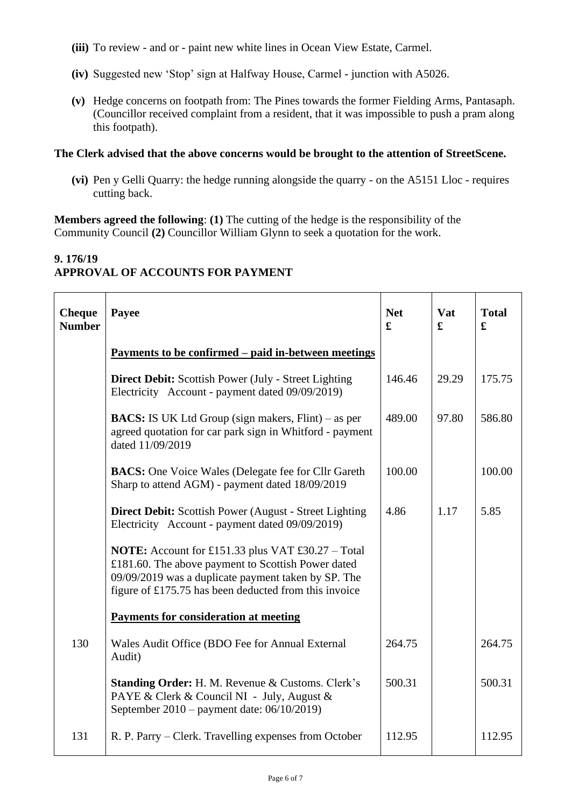- **(iii)** To review and or paint new white lines in Ocean View Estate, Carmel.
- **(iv)** Suggested new 'Stop' sign at Halfway House, Carmel junction with A5026.
- **(v)** Hedge concerns on footpath from: The Pines towards the former Fielding Arms, Pantasaph. (Councillor received complaint from a resident, that it was impossible to push a pram along this footpath).

#### **The Clerk advised that the above concerns would be brought to the attention of StreetScene.**

**(vi)** Pen y Gelli Quarry: the hedge running alongside the quarry - on the A5151 Lloc - requires cutting back.

**Members agreed the following**: **(1)** The cutting of the hedge is the responsibility of the Community Council **(2)** Councillor William Glynn to seek a quotation for the work.

## **9. 176/19 APPROVAL OF ACCOUNTS FOR PAYMENT**

| <b>Cheque</b><br><b>Number</b> | Payee                                                                                                                                                                                                                          | <b>Net</b><br>£ | Vat<br>£ | <b>Total</b><br>£ |
|--------------------------------|--------------------------------------------------------------------------------------------------------------------------------------------------------------------------------------------------------------------------------|-----------------|----------|-------------------|
|                                | <u>Payments to be confirmed – paid in-between meetings</u>                                                                                                                                                                     |                 |          |                   |
|                                | <b>Direct Debit:</b> Scottish Power (July - Street Lighting<br>Electricity Account - payment dated 09/09/2019)                                                                                                                 | 146.46          | 29.29    | 175.75            |
|                                | <b>BACS:</b> IS UK Ltd Group (sign makers, Flint) – as per<br>agreed quotation for car park sign in Whitford - payment<br>dated 11/09/2019                                                                                     | 489.00          | 97.80    | 586.80            |
|                                | <b>BACS:</b> One Voice Wales (Delegate fee for Cllr Gareth<br>Sharp to attend AGM) - payment dated 18/09/2019                                                                                                                  | 100.00          |          | 100.00            |
|                                | <b>Direct Debit:</b> Scottish Power (August - Street Lighting)<br>Electricity Account - payment dated 09/09/2019)                                                                                                              | 4.86            | 1.17     | 5.85              |
|                                | <b>NOTE:</b> Account for £151.33 plus VAT £30.27 – Total<br>£181.60. The above payment to Scottish Power dated<br>09/09/2019 was a duplicate payment taken by SP. The<br>figure of £175.75 has been deducted from this invoice |                 |          |                   |
|                                | <b>Payments for consideration at meeting</b>                                                                                                                                                                                   |                 |          |                   |
| 130                            | Wales Audit Office (BDO Fee for Annual External<br>Audit)                                                                                                                                                                      | 264.75          |          | 264.75            |
|                                | Standing Order: H. M. Revenue & Customs. Clerk's<br>PAYE & Clerk & Council NI - July, August &<br>September 2010 – payment date: 06/10/2019)                                                                                   | 500.31          |          | 500.31            |
| 131                            | R. P. Parry – Clerk. Travelling expenses from October                                                                                                                                                                          | 112.95          |          | 112.95            |